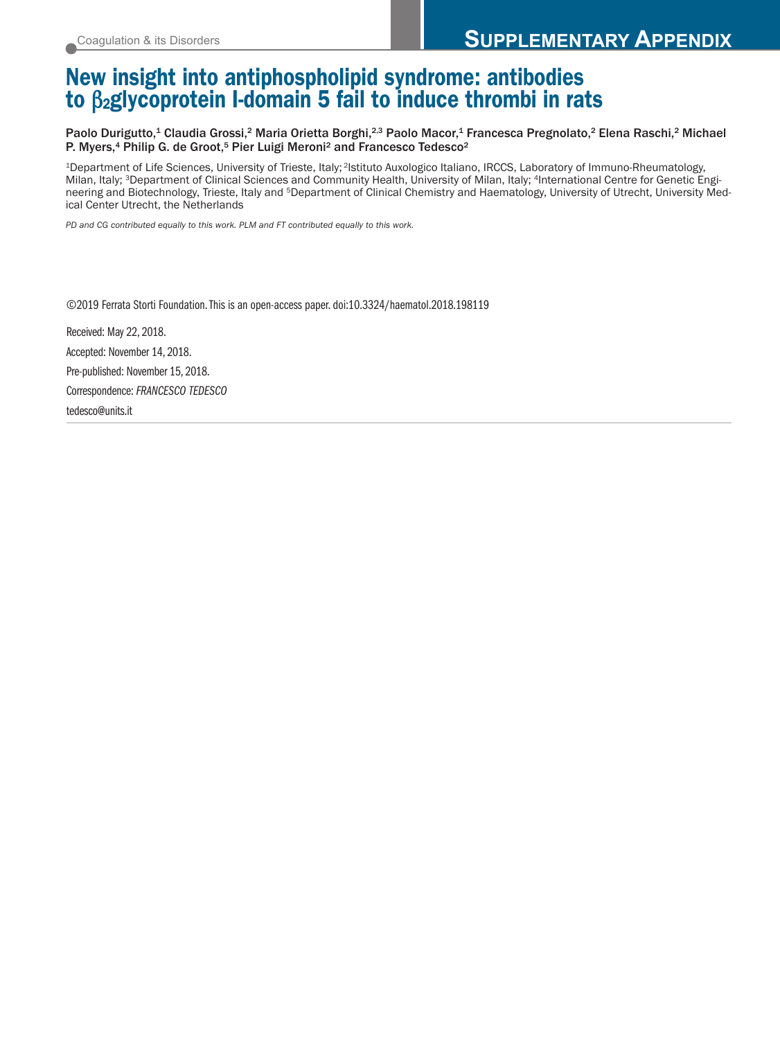# **New insight into antiphospholipid syndrome: antibodies to** β**2glycoprotein I-domain 5 fail to induce thrombi in rats**

Paolo Durigutto,<sup>1</sup> Claudia Grossi,<sup>2</sup> Maria Orietta Borghi,<sup>2,3</sup> Paolo Macor,<sup>1</sup> Francesca Pregnolato,<sup>2</sup> Elena Raschi,<sup>2</sup> Michael P. Myers,<sup>4</sup> Philip G. de Groot,<sup>5</sup> Pier Luigi Meroni<sup>2</sup> and Francesco Tedesco<sup>2</sup>

1Department of Life Sciences, University of Trieste, Italy; 2Istituto Auxologico Italiano, IRCCS, Laboratory of Immuno-Rheumatology, Milan, Italy; <sup>3</sup>Department of Clinical Sciences and Community Health, University of Milan, Italy; <sup>4</sup>International Centre for Genetic Engineering and Biotechnology, Trieste, Italy and 5Department of Clinical Chemistry and Haematology, University of Utrecht, University Medical Center Utrecht, the Netherlands

*PD and CG contributed equally to this work. PLM and FT contributed equally to this work.*

©2019 Ferrata Storti Foundation.This is an open-access paper. doi:10.3324/haematol.2018.198119

Received: May 22, 2018. Accepted: November 14, 2018. Pre-published: November 15, 2018. Correspondence: *FRANCESCO TEDESCO* tedesco@units.it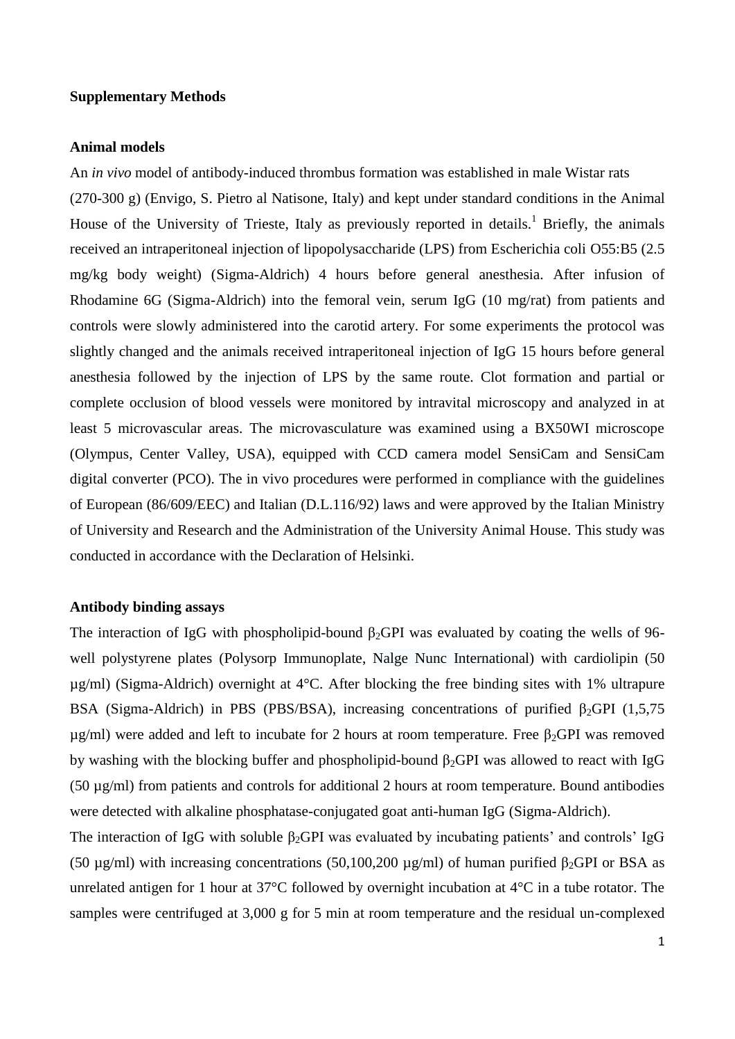### **Supplementary Methods**

### **Animal models**

An *in vivo* model of antibody-induced thrombus formation was established in male Wistar rats (270-300 g) (Envigo, S. Pietro al Natisone, Italy) and kept under standard conditions in the Animal House of the University of Trieste, Italy as previously reported in details[.](#page-4-0)<sup>1</sup> Briefly, the animals received an intraperitoneal injection of lipopolysaccharide (LPS) from Escherichia coli O55:B5 (2.5 mg/kg body weight) (Sigma-Aldrich) 4 hours before general anesthesia. After infusion of Rhodamine 6G (Sigma-Aldrich) into the femoral vein, serum IgG (10 mg/rat) from patients and controls were slowly administered into the carotid artery. For some experiments the protocol was slightly changed and the animals received intraperitoneal injection of IgG 15 hours before general anesthesia followed by the injection of LPS by the same route. Clot formation and partial or complete occlusion of blood vessels were monitored by intravital microscopy and analyzed in at least 5 microvascular areas. The microvasculature was examined using a BX50WI microscope (Olympus, Center Valley, USA), equipped with CCD camera model SensiCam and SensiCam digital converter (PCO). The in vivo procedures were performed in compliance with the guidelines of European (86/609/EEC) and Italian (D.L.116/92) laws and were approved by the Italian Ministry of University and Research and the Administration of the University Animal House. This study was conducted in accordance with the Declaration of Helsinki.

#### **Antibody binding assays**

The interaction of IgG with phospholipid-bound  $\beta_2$ GPI was evaluated by coating the wells of 96well polystyrene plates (Polysorp Immunoplate, Nalge Nunc International) with cardiolipin (50 µg/ml) (Sigma-Aldrich) overnight at 4°C. After blocking the free binding sites with 1% ultrapure BSA (Sigma-Aldrich) in PBS (PBS/BSA), increasing concentrations of purified  $\beta_2$ GPI (1,5,75)  $\mu$ g/ml) were added and left to incubate for 2 hours at room temperature. Free  $\beta_2$ GPI was removed by washing with the blocking buffer and phospholipid-bound  $\beta_2$ GPI was allowed to react with IgG  $(50 \mu g/ml)$  from patients and controls for additional 2 hours at room temperature. Bound antibodies were detected with alkaline phosphatase-conjugated goat anti-human IgG (Sigma-Aldrich).

The interaction of IgG with soluble  $\beta_2$ GPI was evaluated by incubating patients' and controls' IgG (50 μg/ml) with increasing concentrations (50,100,200 μg/ml) of human purified β<sub>2</sub>GPI or BSA as unrelated antigen for 1 hour at 37°C followed by overnight incubation at 4°C in a tube rotator. The samples were centrifuged at 3,000 g for 5 min at room temperature and the residual un-complexed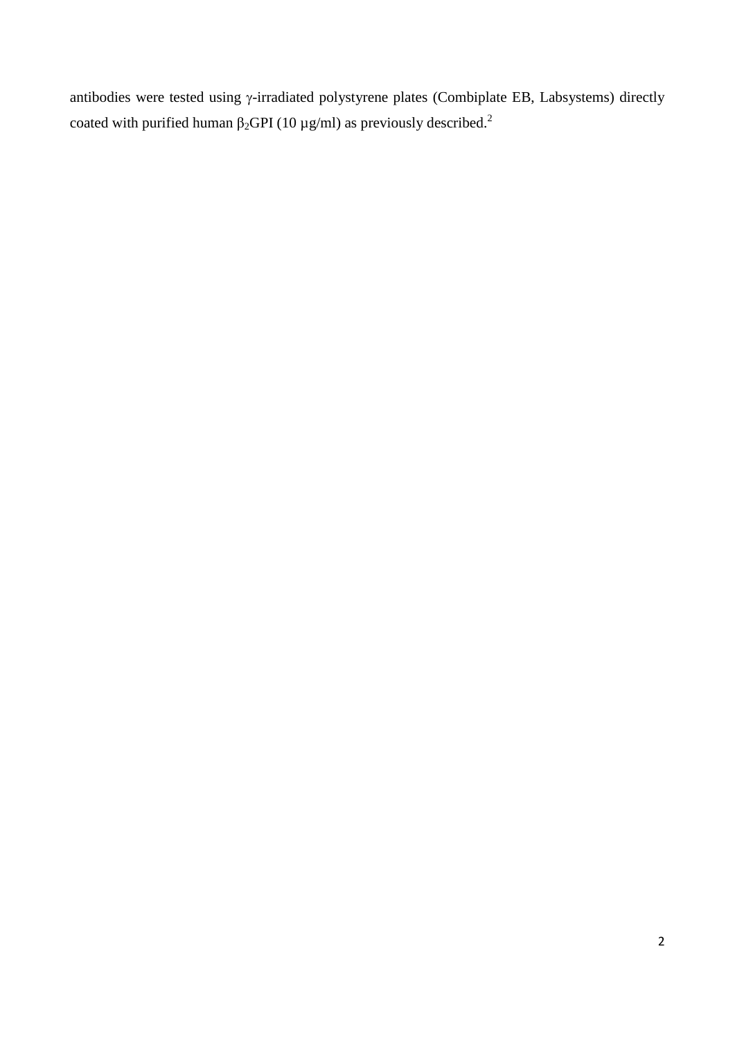antibodies were tested using  $\gamma$ -irradiated polystyrene plates (Combiplate EB, Labsystems) directly coated with purified human  $\beta_2$  $\beta_2$ GPI (10 µg/ml) as previously described.<sup>2</sup>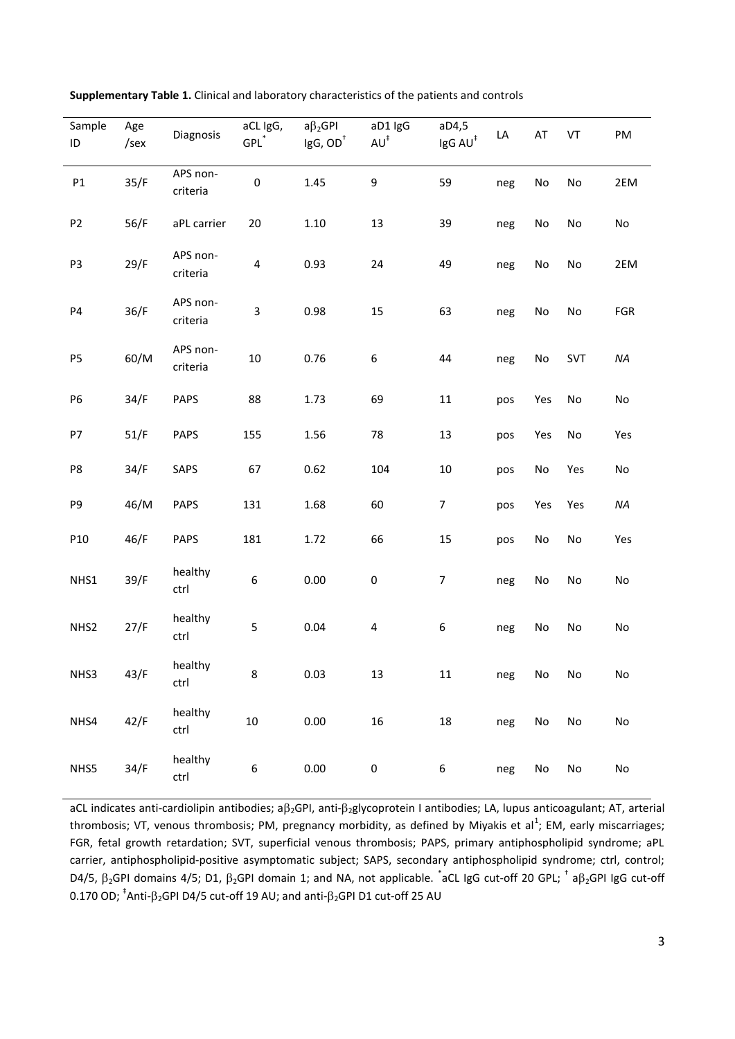| Sample<br>ID   | Age<br>/sex | Diagnosis            | aCL IgG,<br>$\mathsf{GPL}^*$ | $a\beta_2$ GPI<br>$\lg G$ , $OD^+$ | aD1 IgG<br>$AU^{\ddagger}$ | aD4,5<br>$\mathsf{I}\mathsf{g}\mathsf{G}\,\mathsf{A}\mathsf{U}^\ddag$ | LA  | AT            | VT                           | PM       |
|----------------|-------------|----------------------|------------------------------|------------------------------------|----------------------------|-----------------------------------------------------------------------|-----|---------------|------------------------------|----------|
| $\mathsf{P1}$  | 35/F        | APS non-<br>criteria | $\pmb{0}$                    | 1.45                               | 9                          | 59                                                                    | neg | No            | $\mathsf{No}$                | 2EM      |
| P <sub>2</sub> | 56/F        | aPL carrier          | 20                           | $1.10\,$                           | 13                         | 39                                                                    | neg | No            | $\mathsf{No}$                | No       |
| P3             | 29/F        | APS non-<br>criteria | $\overline{\mathbf{4}}$      | 0.93                               | 24                         | 49                                                                    | neg | No            | $\mathsf{No}$                | 2EM      |
| <b>P4</b>      | 36/F        | APS non-<br>criteria | 3                            | 0.98                               | 15                         | 63                                                                    | neg | No            | $\mathsf{No}$                | FGR      |
| P <sub>5</sub> | 60/M        | APS non-<br>criteria | $10\,$                       | 0.76                               | 6                          | 44                                                                    | neg | $\mathsf{No}$ | SVT                          | $\it NA$ |
| P6             | 34/F        | PAPS                 | 88                           | 1.73                               | 69                         | 11                                                                    | pos | Yes           | $\mathsf{No}$                | No       |
| P7             | 51/F        | PAPS                 | 155                          | 1.56                               | 78                         | 13                                                                    | pos | Yes           | $\mathsf{No}$                | Yes      |
| P8             | 34/F        | SAPS                 | 67                           | 0.62                               | 104                        | $10\,$                                                                | pos | $\mathsf{No}$ | Yes                          | No       |
| P9             | 46/M        | <b>PAPS</b>          | 131                          | 1.68                               | 60                         | $\overline{7}$                                                        | pos | Yes           | Yes                          | NA       |
| P10            | 46/F        | PAPS                 | 181                          | 1.72                               | 66                         | 15                                                                    | pos | $\mathsf{No}$ | $\mathsf{No}$                | Yes      |
| NHS1           | 39/F        | healthy<br>ctrl      | $\boldsymbol{6}$             | 0.00                               | $\pmb{0}$                  | $\overline{7}$                                                        | neg | No            | $\mathsf{No}$                | No       |
| NHS2           | 27/F        | healthy<br>ctrl      | 5                            | 0.04                               | $\overline{\mathbf{4}}$    | $\boldsymbol{6}$                                                      | neg | No            | $\mathsf{No}$                | No       |
| NHS3           | 43/F        | healthy<br>ctrl      | 8                            | 0.03                               | 13                         | 11                                                                    | neg | No            | No                           | No       |
| NHS4           | 42/F        | healthy<br>ctrl      | $10\,$                       | 0.00                               | 16                         | 18                                                                    | neg | $\mathsf{No}$ | $\operatorname{\mathsf{No}}$ | No       |
| NHS5           | 34/F        | healthy<br>ctrl      | $\boldsymbol{6}$             | 0.00                               | $\pmb{0}$                  | $\boldsymbol{6}$                                                      | neg | $\mathsf{No}$ | No                           | No       |

**Supplementary Table 1.** Clinical and laboratory characteristics of the patients and controls

aCL indicates anti-cardiolipin antibodies; a $\beta_2$ GPI, anti- $\beta_2$ glycoprotein I antibodies; LA, lupus anticoagulant; AT, arterial thrombosis; VT, venous thrombosis; PM, pregnancy morbidity, as defined by Miyakis et al<sup>1</sup>; EM, early miscarriages; FGR, fetal growth retardation; SVT, superficial venous thrombosis; PAPS, primary antiphospholipid syndrome; aPL carrier, antiphospholipid-positive asymptomatic subject; SAPS, secondary antiphospholipid syndrome; ctrl, control; D4/5,  $\beta_2$ GPI domains 4/5; D1,  $\beta_2$ GPI domain 1; and NA, not applicable.  $\check{a}$ CL IgG cut-off 20 GPL;  $^\dagger$  a $\beta_2$ GPI IgG cut-off  $0.170$  OD;  $^{\ddagger}$ Anti- $\beta_2$ GPI D4/5 cut-off 19 AU; and anti- $\beta_2$ GPI D1 cut-off 25 AU